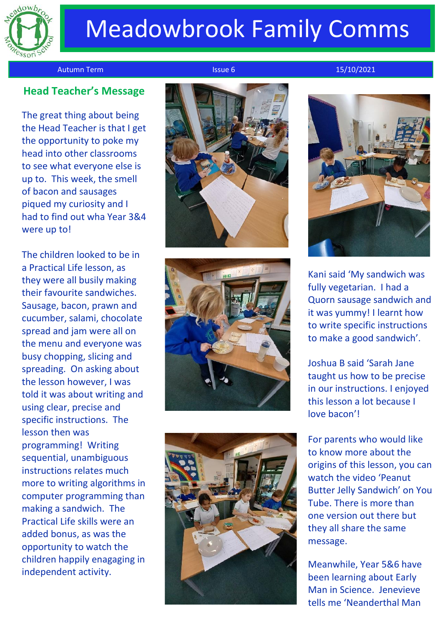

## Meadowbrook Family Comms

Autumn Term Issue 6 15/10/2021

## **Head Teacher's Message**

The great thing about being the Head Teacher is that I get the opportunity to poke my head into other classrooms to see what everyone else is up to. This week, the smell of bacon and sausages piqued my curiosity and I had to find out wha Year 3&4 were up to!

The children looked to be in a Practical Life lesson, as they were all busily making their favourite sandwiches. Sausage, bacon, prawn and cucumber, salami, chocolate spread and jam were all on the menu and everyone was busy chopping, slicing and spreading. On asking about the lesson however, I was told it was about writing and using clear, precise and specific instructions. The lesson then was programming! Writing sequential, unambiguous instructions relates much more to writing algorithms in computer programming than making a sandwich. The Practical Life skills were an added bonus, as was the opportunity to watch the children happily enagaging in independent activity.









Kani said 'My sandwich was fully vegetarian. I had a Quorn sausage sandwich and it was yummy! I learnt how to write specific instructions to make a good sandwich'.

Joshua B said 'Sarah Jane taught us how to be precise in our instructions. I enjoyed this lesson a lot because I love bacon'!

For parents who would like to know more about the origins of this lesson, you can watch the video 'Peanut Butter Jelly Sandwich' on You Tube. There is more than one version out there but they all share the same message.

Meanwhile, Year 5&6 have been learning about Early Man in Science. Jenevieve tells me 'Neanderthal Man